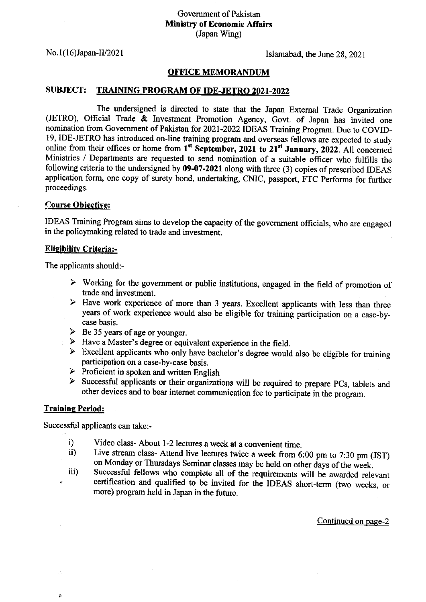# Govemment of Pakistan Ministry of Economic Affairs (Japan Wing)

No. I ( 16)Japan-IV202 I Islamabad, the June 28, 2021

# **OFFICE MEMORANDUM**

## SUBJECT: TRAINING PROGRAM OF IDE-JETRO 2021-2022

The undersigned is directed to state that the Japan External Trade Organization (JETRO), Official Trade & Investment Promotion Agency, Govt. of Japan has invited one nomination from Government of Pakistan for 2021-2022 IDEAS Training Program. Due to COVID-19. IDE-JETRO has introduced on-line training program and overseas fellows are expected to study online from their offices or home from 1<sup>st</sup> September, 2021 to 21<sup>st</sup> January, 2022. All concerned Ministries / Departrnents are requested to send nomination of a suitable officer who fulfills the following criteria to the undersigned by  $09-07-2021$  along with three (3) copies of prescribed IDEAS application form, one copy of surety bond, undertaking, cNIC, passport, FTC performa for further proceedings.

## **Course Objective:**

IDEAS Training Program aims to develop the capacity of the government officials, who are engaged in the policymaking related to trade and investment.

### Eligibility Criteria:-

The applicants should:-

- $\triangleright$  Working for the government or public institutions, engaged in the field of promotion of trade and investment.
- $\triangleright$  Have work experience of more than 3 years. Excellent applicants with less than three years of work experience would also be eligible for training participation on a case-bycase basis.
- 
- 
- <ul>\n<li>▶ Be 35 years of age or younger.</li>\n<li>▶ Have a Master's degree or equivalent experience in the field.</li>\n<li>▶ Excel lent applications who only have bachelor's degree would also be eligible for training participation on a case-by-case basis.</li>\n</ul>
- 
- $\triangleright$  Proficient in spoken and written English  $\triangleright$  Successful applicants or their organizations will be required to prepare PCs, tablets and other devices and to bear intemet communication fee to participate in the program.

### **Training Period:**

 $\mathbf{t}$ 

Successful applicants can take:-

- 
- i) Video class- About 1-2 lectures a week at a convenient time.<br>ii) Live stream class- Attend live lectures twice a week from 6:00 pm to 7:30 pm (JST)<br>on Monday or Thursdays Seminar classes may be held on other days of the
- iii) Successful fellows who complete all of the requirements will be awarded relevant certification and qualified to be invited for the IDEAS short-term (two weeks, or more) program held in Japan in the future.

Continued on page-2